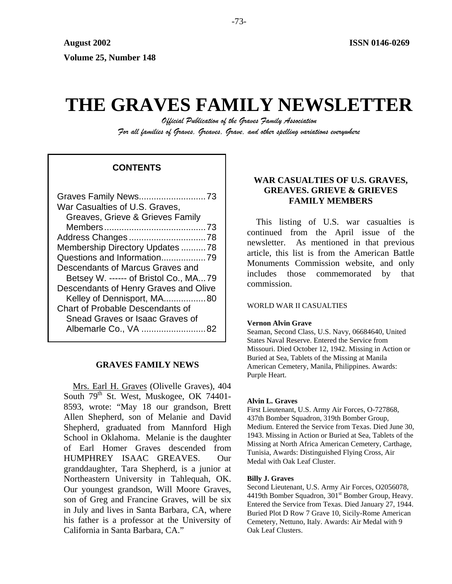# **THE GRAVES FAMILY NEWSLETTER**

*Official Publication of the Graves Family Association For all families of Graves, Greaves, Grave, and other spelling variations everywhere* 

# **CONTENTS**

| War Casualties of U.S. Graves,          |
|-----------------------------------------|
| Greaves, Grieve & Grieves Family        |
|                                         |
|                                         |
| Membership Directory Updates 78         |
| Questions and Information79             |
| Descendants of Marcus Graves and        |
| Betsey W. ------ of Bristol Co., MA79   |
|                                         |
| Descendants of Henry Graves and Olive   |
| Kelley of Dennisport, MA80              |
| <b>Chart of Probable Descendants of</b> |
| Snead Graves or Isaac Graves of         |
| Albemarle Co., VA 82                    |

# **GRAVES FAMILY NEWS**

Mrs. Earl H. Graves (Olivelle Graves), 404 South 79<sup>th</sup> St. West, Muskogee, OK 74401-8593, wrote: "May 18 our grandson, Brett Allen Shepherd, son of Melanie and David Shepherd, graduated from Mannford High School in Oklahoma. Melanie is the daughter of Earl Homer Graves descended from HUMPHREY ISAAC GREAVES. Our granddaughter, Tara Shepherd, is a junior at Northeastern University in Tahlequah, OK. Our youngest grandson, Will Moore Graves, son of Greg and Francine Graves, will be six in July and lives in Santa Barbara, CA, where his father is a professor at the University of California in Santa Barbara, CA."

# **WAR CASUALTIES OF U.S. GRAVES, GREAVES. GRIEVE & GRIEVES FAMILY MEMBERS**

This listing of U.S. war casualties is continued from the April issue of the newsletter. As mentioned in that previous article, this list is from the American Battle Monuments Commission website, and only includes those commemorated by that commission.

## WORLD WAR II CASUALTIES

## **Vernon Alvin Grave**

Seaman, Second Class, U.S. Navy, 06684640, United States Naval Reserve. Entered the Service from Missouri. Died October 12, 1942. Missing in Action or Buried at Sea, Tablets of the Missing at Manila American Cemetery, Manila, Philippines. Awards: Purple Heart.

## **Alvin L. Graves**

First Lieutenant, U.S. Army Air Forces, O-727868, 437th Bomber Squadron, 319th Bomber Group, Medium. Entered the Service from Texas. Died June 30, 1943. Missing in Action or Buried at Sea, Tablets of the Missing at North Africa American Cemetery, Carthage, Tunisia, Awards: Distinguished Flying Cross, Air Medal with Oak Leaf Cluster.

## **Billy J. Graves**

Second Lieutenant, U.S. Army Air Forces, O2056078, 4419th Bomber Squadron, 301<sup>st</sup> Bomber Group, Heavy. Entered the Service from Texas. Died January 27, 1944. Buried Plot D Row 7 Grave 10, Sicily-Rome American Cemetery, Nettuno, Italy. Awards: Air Medal with 9 Oak Leaf Clusters.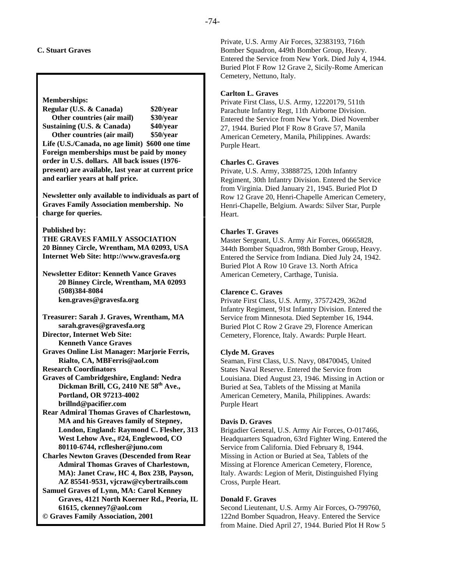## **C. Stuart Graves**

#### **Memberships:**

**Regular (U.S. & Canada) \$20/year Other countries (air mail) \$30/year Sustaining (U.S. & Canada) \$40/year** 

 **Other countries (air mail) \$50/year Life (U.S./Canada, no age limit) \$600 one time Foreign memberships must be paid by money order in U.S. dollars. All back issues (1976 present) are available, last year at current price and earlier years at half price.** 

**Newsletter only available to individuals as part of Graves Family Association membership. No charge for queries.** 

#### **Published by:**

**THE GRAVES FAMILY ASSOCIATION 20 Binney Circle, Wrentham, MA 02093, USA Internet Web Site: http://www.gravesfa.org** 

## **Newsletter Editor: Kenneth Vance Graves 20 Binney Circle, Wrentham, MA 02093 (508)384-8084 ken.graves@gravesfa.org**

**Treasurer: Sarah J. Graves, Wrentham, MA sarah.graves@gravesfa.org Director, Internet Web Site:** 

 **Kenneth Vance Graves** 

**Graves Online List Manager: Marjorie Ferris, Rialto, CA, MBFerris@aol.com** 

**Research Coordinators** 

**Graves of Cambridgeshire, England: Nedra**  Dickman Brill, CG, 2410 NE 58<sup>th</sup> Ave., **Portland, OR 97213-4002 brillnd@pacifier.com** 

**Rear Admiral Thomas Graves of Charlestown, MA and his Greaves family of Stepney, London, England: Raymond C. Flesher, 313 West Lehow Ave., #24, Englewood, CO 80110-6744, rcflesher@juno.com** 

**Charles Newton Graves (Descended from Rear Admiral Thomas Graves of Charlestown, MA): Janet Craw, HC 4, Box 23B, Payson, AZ 85541-9531, vjcraw@cybertrails.com** 

**Samuel Graves of Lynn, MA: Carol Kenney Graves, 4121 North Koerner Rd., Peoria, IL 61615, ckenney7@aol.com © Graves Family Association, 2001**

Private, U.S. Army Air Forces, 32383193, 716th Bomber Squadron, 449th Bomber Group, Heavy. Entered the Service from New York. Died July 4, 1944. Buried Plot F Row 12 Grave 2, Sicily-Rome American Cemetery, Nettuno, Italy.

## **Carlton L. Graves**

Private First Class, U.S. Army, 12220179, 511th Parachute Infantry Regt, 11th Airborne Division. Entered the Service from New York. Died November 27, 1944. Buried Plot F Row 8 Grave 57, Manila American Cemetery, Manila, Philippines. Awards: Purple Heart.

## **Charles C. Graves**

Private, U.S. Army, 33888725, 120th Infantry Regiment, 30th Infantry Division. Entered the Service from Virginia. Died January 21, 1945. Buried Plot D Row 12 Grave 20, Henri-Chapelle American Cemetery, Henri-Chapelle, Belgium. Awards: Silver Star, Purple Heart.

# **Charles T. Graves**

Master Sergeant, U.S. Army Air Forces, 06665828, 344th Bomber Squadron, 98th Bomber Group, Heavy. Entered the Service from Indiana. Died July 24, 1942. Buried Plot A Row 10 Grave 13. North Africa American Cemetery, Carthage, Tunisia.

## **Clarence C. Graves**

Private First Class, U.S. Army, 37572429, 362nd Infantry Regiment, 91st Infantry Division. Entered the Service from Minnesota. Died September 16, 1944. Buried Plot C Row 2 Grave 29, Florence American Cemetery, Florence, Italy. Awards: Purple Heart.

## **Clyde M. Graves**

Seaman, First Class, U.S. Navy, 08470045, United States Naval Reserve. Entered the Service from Louisiana. Died August 23, 1946. Missing in Action or Buried at Sea, Tablets of the Missing at Manila American Cemetery, Manila, Philippines. Awards: Purple Heart

## **Davis D. Graves**

Brigadier General, U.S. Army Air Forces, O-017466, Headquarters Squadron, 63rd Fighter Wing. Entered the Service from California. Died February 8, 1944. Missing in Action or Buried at Sea, Tablets of the Missing at Florence American Cemetery, Florence, Italy. Awards: Legion of Merit, Distinguished Flying Cross, Purple Heart.

## **Donald F. Graves**

Second Lieutenant, U.S. Army Air Forces, O-799760, 122nd Bomber Squadron, Heavy. Entered the Service from Maine. Died April 27, 1944. Buried Plot H Row 5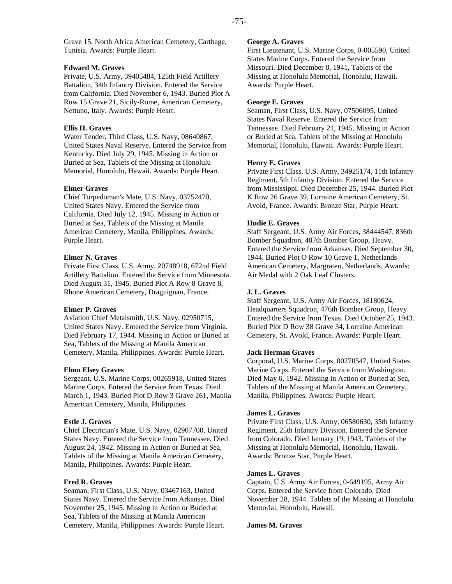Grave 15, North Africa American Cemetery, Carthage, Tunisia. Awards: Purple Heart.

#### **Edward M. Graves**

Private, U.S. Army, 39405484, 125th Field Artillery Battalion, 34th Infantry Division. Entered the Service from California. Died November 6, 1943. Buried Plot A Row 15 Grave 21, Sicily-Rome, American Cemetery, Nettuno, Italy. Awards: Purple Heart.

#### **Ellis H. Graves**

Water Tender, Third Class, U.S. Navy, 08640867, United States Naval Reserve. Entered the Service from Kentucky. Died July 29, 1945. Missing in Action or Buried at Sea, Tablets of the Missing at Honolulu Memorial, Honolulu, Hawaii. Awards: Purple Heart.

#### **Elmer Graves**

Chief Torpedoman's Mate, U.S. Navy, 03752470, United States Navy. Entered the Service from California. Died July 12, 1945. Missing in Action or Buried at Sea, Tablets of the Missing at Manila American Cemetery, Manila, Philippines. Awards: Purple Heart.

#### **Elmer N. Graves**

Private First Class, U.S. Army, 20748918, 672nd Field Artillery Battalion. Entered the Service from Minnesota. Died August 31, 1945. Buried Plot A Row 8 Grave 8, Rhone American Cemetery, Draguignan, France.

#### **Elmer P. Graves**

Aviation Chief Metalsmith, U.S. Navy, 02950715, United States Navy. Entered the Service from Virginia. Died February 17, 1944. Missing in Action or Buried at Sea, Tablets of the Missing at Manila American Cemetery, Manila, Philippines. Awards: Purple Heart.

#### **Elmo Elsey Graves**

Sergeant, U.S. Marine Corps, 00265918, United States Marine Corps. Entered the Service from Texas. Died March 1, 1943. Buried Plot D Row 3 Grave 261, Manila American Cemetery, Manila, Philippines.

## **Estle J. Graves**

Chief Electrician's Mate, U.S. Navy, 02907700, United States Navy. Entered the Service from Tennessee. Died August 24, 1942. Missing in Action or Buried at Sea, Tablets of the Missing at Manila American Cemetery, Manila, Philippines. Awards: Purple Heart.

## **Fred R. Graves**

Seaman, First Class, U.S. Navy, 03467163, United States Navy. Entered the Service from Arkansas. Died November 25, 1945. Missing in Action or Buried at Sea, Tablets of the Missing at Manila American Cemetery, Manila, Philippines. Awards: Purple Heart.

#### **George A. Graves**

First Lieutenant, U.S. Marine Corps, 0-005590, United States Marine Corps. Entered the Service from Missouri. Died December 8, 1941, Tablets of the Missing at Honolulu Memorial, Honolulu, Hawaii. Awards: Purple Heart.

#### **George E. Graves**

Seaman, First Class, U.S. Navy, 07506095, United States Naval Reserve. Entered the Service from Tennessee. Died February 21, 1945. Missing in Action or Buried at Sea, Tablets of the Missing at Honolulu Memorial, Honolulu, Hawaii. Awards: Purple Heart.

#### **Henry E. Graves**

Private First Class, U.S. Army, 34925174, 11th Infantry Regiment, 5th Infantry Division. Entered the Service from Mississippi. Died December 25, 1944. Buried Plot K Row 26 Grave 39, Lorraine American Cemetery, St. Avold, France. Awards: Bronze Star, Purple Heart.

#### **Hudie E. Graves**

Staff Sergeant, U.S. Army Air Forces, 38444547, 836th Bomber Squadron, 487th Bomber Group, Heavy. Entered the Service from Arkansas. Died September 30, 1944. Buried Plot O Row 10 Grave 1, Netherlands American Cemetery, Margraten, Netherlands. Awards: Air Medal with 2 Oak Leaf Clusters.

#### **J. L. Graves**

Staff Sergeant, U.S. Army Air Forces, 18180624, Headquarters Squadron, 476th Bomber Group, Heavy. Entered the Service from Texas. Died October 25, 1943. Buried Plot D Row 38 Grave 34, Lorraine American Cemetery, St. Avold, France. Awards: Purple Heart.

#### **Jack Herman Graves**

Corporal, U.S. Marine Corps, 00270547, United States Marine Corps. Entered the Service from Washington. Died May 6, 1942. Missing in Action or Buried at Sea, Tablets of the Missing at Manila American Cemetery, Manila, Philippines. Awards: Purple Heart.

#### **James L. Graves**

Private First Class, U.S. Army, 06580630, 35th Infantry Regiment, 25th Infantry Division. Entered the Service from Colorado. Died January 19, 1943. Tablets of the Missing at Honolulu Memorial, Honolulu, Hawaii. Awards: Bronze Star, Purple Heart.

#### **James L. Graves**

Captain, U.S. Army Air Forces, 0-649195, Army Air Corps. Entered the Service from Colorado. Died November 28, 1944. Tablets of the Missing at Honolulu Memorial, Honolulu, Hawaii.

#### **James M. Graves**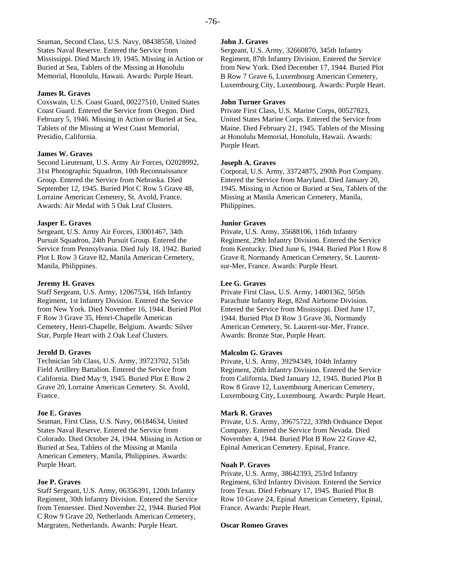Seaman, Second Class, U.S. Navy, 08438558, United States Naval Reserve. Entered the Service from Mississippi. Died March 19, 1945. Missing in Action or Buried at Sea, Tablets of the Missing at Honolulu Memorial, Honolulu, Hawaii. Awards: Purple Heart.

#### **James R. Graves**

Coxswain, U.S. Coast Guard, 00227510, United States Coast Guard. Entered the Service from Oregon. Died February 5, 1946. Missing in Action or Buried at Sea, Tablets of the Missing at West Coast Memorial, Presidio, California.

#### **James W. Graves**

Second Lieutenant, U.S. Army Air Forces, O2028992, 31st Photographic Squadron, 10th Reconnaissance Group. Entered the Service from Nebraska. Died September 12, 1945. Buried Plot C Row 5 Grave 48, Lorraine American Cemetery, St. Avold, France. Awards: Air Medal with 5 Oak Leaf Clusters.

## **Jasper E. Graves**

Sergeant, U.S. Army Air Forces, 13001467, 34th Pursuit Squadron, 24th Pursuit Group. Entered the Service from Pennsylvania. Died July 18, 1942. Buried Plot L Row 3 Grave 82, Manila American Cemetery, Manila, Philippines.

#### **Jeremy H. Graves**

Staff Sergeant, U.S. Army, 12067534, 16th Infantry Regiment, 1st Infantry Division. Entered the Service from New York. Died November 16, 1944. Buried Plot F Row 3 Grave 35, Henri-Chapelle American Cemetery, Henri-Chapelle, Belgium. Awards: Silver Star, Purple Heart with 2 Oak Leaf Clusters.

## **Jerold D. Graves**

Technician 5th Class, U.S. Army, 39723702, 515th Field Artillery Battalion. Entered the Service from California. Died May 9, 1945. Buried Plot E Row 2 Grave 20, Lorraine American Cemetery. St. Avold, France.

## **Joe E. Graves**

Seaman, First Class, U.S. Navy, 06184634, United States Naval Reserve. Entered the Service from Colorado. Died October 24, 1944. Missing in Action or Buried at Sea, Tablets of the Missing at Manila American Cemetery, Manila, Philippines. Awards: Purple Heart.

## **Joe P. Graves**

Staff Sergeant, U.S. Army, 06356391, 120th Infantry Regiment, 30th Infantry Division. Entered the Service from Tennessee. Died November 22, 1944. Buried Plot C Row 9 Grave 20, Netherlands American Cemetery, Margraten, Netherlands. Awards: Purple Heart.

#### **John J. Graves**

Sergeant, U.S. Army, 32660870, 345th Infantry Regiment, 87th Infantry Division. Entered the Service from New York. Died December 17, 1944. Buried Plot B Row 7 Grave 6, Luxembourg American Cemetery, Luxembourg City, Luxembourg. Awards: Purple Heart.

#### **John Turner Graves**

Private First Class, U.S. Marine Corps, 00527823, United States Marine Corps. Entered the Service from Maine. Died February 21, 1945. Tablets of the Missing at Honolulu Memorial, Honolulu, Hawaii. Awards: Purple Heart.

#### **Joseph A. Graves**

Corporal, U.S. Army, 33724875, 290th Port Company. Entered the Service from Maryland. Died January 20, 1945. Missing in Action or Buried at Sea, Tablets of the Missing at Manila American Cemetery, Manila, Philippines.

#### **Junior Graves**

Private, U.S. Army, 35688106, 116th Infantry Regiment, 29th Infantry Division. Entered the Service from Kentucky. Died June 6, 1944. Buried Plot I Row 8 Grave 8, Normandy American Cemetery, St. Laurentsur-Mer, France. Awards: Purple Heart.

#### **Lee G. Graves**

Private First Class, U.S. Army, 14001362, 505th Parachute Infantry Regt, 82nd Airborne Division. Entered the Service from Mississippi. Died June 17, 1944. Buried Plot D Row 3 Grave 36, Normandy American Cemetery, St. Laurent-sur-Mer, France. Awards: Bronze Star, Purple Heart.

## **Malcolm G. Graves**

Private, U.S. Army, 39294349, 104th Infantry Regiment, 26th Infantry Division. Entered the Service from California. Died January 12, 1945. Buried Plot B Row 8 Grave 12, Luxembourg American Cemetery, Luxembourg City, Luxembourg. Awards: Purple Heart.

#### **Mark R. Graves**

Private, U.S. Army, 39675722, 339th Ordnance Depot Company. Entered the Service from Nevada. Died November 4, 1944. Buried Plot B Row 22 Grave 42, Epinal American Cemetery. Epinal, France.

## **Noah P. Graves**

Private, U.S. Army, 38642393, 253rd Infantry Regiment, 63rd Infantry Division. Entered the Service from Texas. Died February 17, 1945. Buried Plot B Row 10 Grave 24, Epinal American Cemetery, Epinal, France. Awards: Purple Heart.

#### **Oscar Romeo Graves**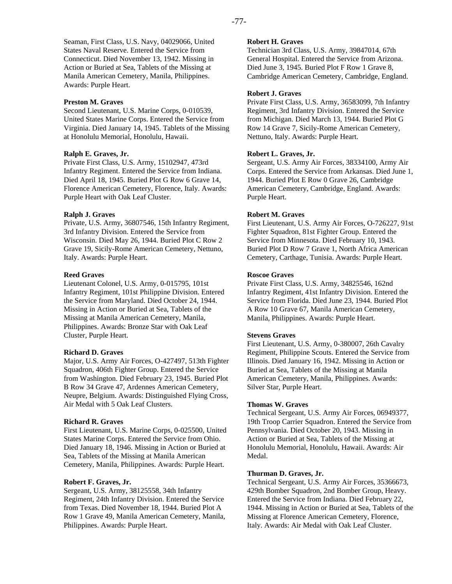Seaman, First Class, U.S. Navy, 04029066, United States Naval Reserve. Entered the Service from Connecticut. Died November 13, 1942. Missing in Action or Buried at Sea, Tablets of the Missing at Manila American Cemetery, Manila, Philippines. Awards: Purple Heart.

#### **Preston M. Graves**

Second Lieutenant, U.S. Marine Corps, 0-010539, United States Marine Corps. Entered the Service from Virginia. Died January 14, 1945. Tablets of the Missing at Honolulu Memorial, Honolulu, Hawaii.

#### **Ralph E. Graves, Jr.**

Private First Class, U.S. Army, 15102947, 473rd Infantry Regiment. Entered the Service from Indiana. Died April 18, 1945. Buried Plot G Row 6 Grave 14, Florence American Cemetery, Florence, Italy. Awards: Purple Heart with Oak Leaf Cluster.

#### **Ralph J. Graves**

Private, U.S. Army, 36807546, 15th Infantry Regiment, 3rd Infantry Division. Entered the Service from Wisconsin. Died May 26, 1944. Buried Plot C Row 2 Grave 19, Sicily-Rome American Cemetery, Nettuno, Italy. Awards: Purple Heart.

#### **Reed Graves**

Lieutenant Colonel, U.S. Army, 0-015795, 101st Infantry Regiment, 101st Philippine Division. Entered the Service from Maryland. Died October 24, 1944. Missing in Action or Buried at Sea, Tablets of the Missing at Manila American Cemetery, Manila, Philippines. Awards: Bronze Star with Oak Leaf Cluster, Purple Heart.

#### **Richard D. Graves**

Major, U.S. Army Air Forces, O-427497, 513th Fighter Squadron, 406th Fighter Group. Entered the Service from Washington. Died February 23, 1945. Buried Plot B Row 34 Grave 47, Ardennes American Cemetery, Neupre, Belgium. Awards: Distinguished Flying Cross, Air Medal with 5 Oak Leaf Clusters.

#### **Richard R. Graves**

First Lieutenant, U.S. Marine Corps, 0-025500, United States Marine Corps. Entered the Service from Ohio. Died January 18, 1946. Missing in Action or Buried at Sea, Tablets of the Missing at Manila American Cemetery, Manila, Philippines. Awards: Purple Heart.

#### **Robert F. Graves, Jr.**

Sergeant, U.S. Army, 38125558, 34th Infantry Regiment, 24th Infantry Division. Entered the Service from Texas. Died November 18, 1944. Buried Plot A Row 1 Grave 49, Manila American Cemetery, Manila, Philippines. Awards: Purple Heart.

#### **Robert H. Graves**

Technician 3rd Class, U.S. Army, 39847014, 67th General Hospital. Entered the Service from Arizona. Died June 3, 1945. Buried Plot F Row 1 Grave 8, Cambridge American Cemetery, Cambridge, England.

#### **Robert J. Graves**

Private First Class, U.S. Army, 36583099, 7th Infantry Regiment, 3rd Infantry Division. Entered the Service from Michigan. Died March 13, 1944. Buried Plot G Row 14 Grave 7, Sicily-Rome American Cemetery, Nettuno, Italy. Awards: Purple Heart.

#### **Robert L. Graves, Jr.**

Sergeant, U.S. Army Air Forces, 38334100, Army Air Corps. Entered the Service from Arkansas. Died June 1, 1944. Buried Plot E Row 0 Grave 26, Cambridge American Cemetery, Cambridge, England. Awards: Purple Heart.

#### **Robert M. Graves**

First Lieutenant, U.S. Army Air Forces, O-726227, 91st Fighter Squadron, 81st Fighter Group. Entered the Service from Minnesota. Died February 10, 1943. Buried Plot D Row 7 Grave 1, North Africa American Cemetery, Carthage, Tunisia. Awards: Purple Heart.

#### **Roscoe Graves**

Private First Class, U.S. Army, 34825546, 162nd Infantry Regiment, 41st Infantry Division. Entered the Service from Florida. Died June 23, 1944. Buried Plot A Row 10 Grave 67, Manila American Cemetery, Manila, Philippines. Awards: Purple Heart.

#### **Stevens Graves**

First Lieutenant, U.S. Army, 0-380007, 26th Cavalry Regiment, Philippine Scouts. Entered the Service from Illinois. Died January 16, 1942. Missing in Action or Buried at Sea, Tablets of the Missing at Manila American Cemetery, Manila, Philippines. Awards: Silver Star, Purple Heart.

#### **Thomas W. Graves**

Technical Sergeant, U.S. Army Air Forces, 06949377, 19th Troop Carrier Squadron. Entered the Service from Pennsylvania. Died October 20, 1943. Missing in Action or Buried at Sea, Tablets of the Missing at Honolulu Memorial, Honolulu, Hawaii. Awards: Air Medal.

#### **Thurman D. Graves, Jr.**

Technical Sergeant, U.S. Army Air Forces, 35366673, 429th Bomber Squadron, 2nd Bomber Group, Heavy. Entered the Service from Indiana. Died February 22, 1944. Missing in Action or Buried at Sea, Tablets of the Missing at Florence American Cemetery, Florence, Italy. Awards: Air Medal with Oak Leaf Cluster.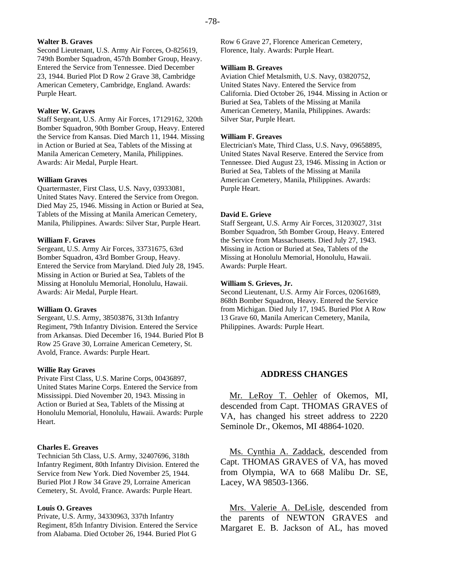## **Walter B. Graves**

Second Lieutenant, U.S. Army Air Forces, O-825619, 749th Bomber Squadron, 457th Bomber Group, Heavy. Entered the Service from Tennessee. Died December 23, 1944. Buried Plot D Row 2 Grave 38, Cambridge American Cemetery, Cambridge, England. Awards: Purple Heart.

#### **Walter W. Graves**

Staff Sergeant, U.S. Army Air Forces, 17129162, 320th Bomber Squadron, 90th Bomber Group, Heavy. Entered the Service from Kansas. Died March 11, 1944. Missing in Action or Buried at Sea, Tablets of the Missing at Manila American Cemetery, Manila, Philippines. Awards: Air Medal, Purple Heart.

#### **William Graves**

Quartermaster, First Class, U.S. Navy, 03933081, United States Navy. Entered the Service from Oregon. Died May 25, 1946. Missing in Action or Buried at Sea, Tablets of the Missing at Manila American Cemetery, Manila, Philippines. Awards: Silver Star, Purple Heart.

#### **William F. Graves**

Sergeant, U.S. Army Air Forces, 33731675, 63rd Bomber Squadron, 43rd Bomber Group, Heavy. Entered the Service from Maryland. Died July 28, 1945. Missing in Action or Buried at Sea, Tablets of the Missing at Honolulu Memorial, Honolulu, Hawaii. Awards: Air Medal, Purple Heart.

#### **William O. Graves**

Sergeant, U.S. Army, 38503876, 313th Infantry Regiment, 79th Infantry Division. Entered the Service from Arkansas. Died December 16, 1944. Buried Plot B Row 25 Grave 30, Lorraine American Cemetery, St. Avold, France. Awards: Purple Heart.

#### **Willie Ray Graves**

Private First Class, U.S. Marine Corps, 00436897, United States Marine Corps. Entered the Service from Mississippi. Died November 20, 1943. Missing in Action or Buried at Sea, Tablets of the Missing at Honolulu Memorial, Honolulu, Hawaii. Awards: Purple Heart.

#### **Charles E. Greaves**

Technician 5th Class, U.S. Army, 32407696, 318th Infantry Regiment, 80th Infantry Division. Entered the Service from New York. Died November 25, 1944. Buried Plot J Row 34 Grave 29, Lorraine American Cemetery, St. Avold, France. Awards: Purple Heart.

#### **Louis O. Greaves**

Private, U.S. Army, 34330963, 337th Infantry Regiment, 85th Infantry Division. Entered the Service from Alabama. Died October 26, 1944. Buried Plot G

Row 6 Grave 27, Florence American Cemetery, Florence, Italy. Awards: Purple Heart.

#### **William B. Greaves**

Aviation Chief Metalsmith, U.S. Navy, 03820752, United States Navy. Entered the Service from California. Died October 26, 1944. Missing in Action or Buried at Sea, Tablets of the Missing at Manila American Cemetery, Manila, Philippines. Awards: Silver Star, Purple Heart.

#### **William F. Greaves**

Electrician's Mate, Third Class, U.S. Navy, 09658895, United States Naval Reserve. Entered the Service from Tennessee. Died August 23, 1946. Missing in Action or Buried at Sea, Tablets of the Missing at Manila American Cemetery, Manila, Philippines. Awards: Purple Heart.

#### **David E. Grieve**

Staff Sergeant, U.S. Army Air Forces, 31203027, 31st Bomber Squadron, 5th Bomber Group, Heavy. Entered the Service from Massachusetts. Died July 27, 1943. Missing in Action or Buried at Sea, Tablets of the Missing at Honolulu Memorial, Honolulu, Hawaii. Awards: Purple Heart.

#### **William S. Grieves, Jr.**

Second Lieutenant, U.S. Army Air Forces, 02061689, 868th Bomber Squadron, Heavy. Entered the Service from Michigan. Died July 17, 1945. Buried Plot A Row 13 Grave 60, Manila American Cemetery, Manila, Philippines. Awards: Purple Heart.

# **ADDRESS CHANGES**

Mr. LeRoy T. Oehler of Okemos, MI, descended from Capt. THOMAS GRAVES of VA, has changed his street address to 2220 Seminole Dr., Okemos, MI 48864-1020.

Ms. Cynthia A. Zaddack, descended from Capt. THOMAS GRAVES of VA, has moved from Olympia, WA to 668 Malibu Dr. SE, Lacey, WA 98503-1366.

Mrs. Valerie A. DeLisle, descended from the parents of NEWTON GRAVES and Margaret E. B. Jackson of AL, has moved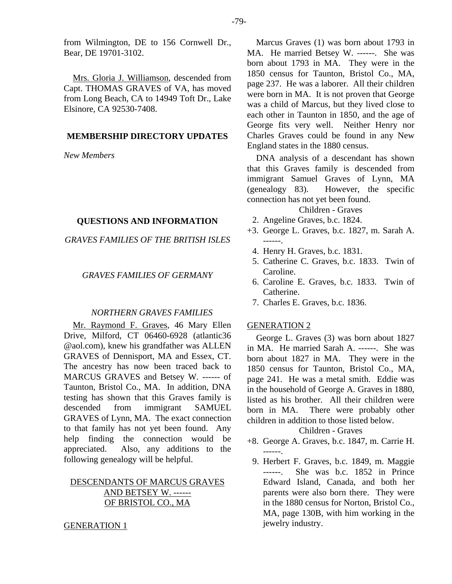from Wilmington, DE to 156 Cornwell Dr., Bear, DE 19701-3102.

Mrs. Gloria J. Williamson, descended from Capt. THOMAS GRAVES of VA, has moved from Long Beach, CA to 14949 Toft Dr., Lake Elsinore, CA 92530-7408.

# **MEMBERSHIP DIRECTORY UPDATES**

*New Members* 

# **QUESTIONS AND INFORMATION**

*GRAVES FAMILIES OF THE BRITISH ISLES* 

# *GRAVES FAMILIES OF GERMANY*

# *NORTHERN GRAVES FAMILIES*

Mr. Raymond F. Graves, 46 Mary Ellen Drive, Milford, CT 06460-6928 (atlantic36 @aol.com), knew his grandfather was ALLEN GRAVES of Dennisport, MA and Essex, CT. The ancestry has now been traced back to MARCUS GRAVES and Betsey W. ------ of Taunton, Bristol Co., MA. In addition, DNA testing has shown that this Graves family is descended from immigrant SAMUEL GRAVES of Lynn, MA. The exact connection to that family has not yet been found. Any help finding the connection would be appreciated. Also, any additions to the following genealogy will be helpful.

# DESCENDANTS OF MARCUS GRAVES AND BETSEY W. ------OF BRISTOL CO., MA

## GENERATION 1

Marcus Graves (1) was born about 1793 in MA. He married Betsey W. ------. She was born about 1793 in MA. They were in the 1850 census for Taunton, Bristol Co., MA, page 237. He was a laborer. All their children were born in MA. It is not proven that George was a child of Marcus, but they lived close to each other in Taunton in 1850, and the age of George fits very well. Neither Henry nor Charles Graves could be found in any New England states in the 1880 census.

DNA analysis of a descendant has shown that this Graves family is descended from immigrant Samuel Graves of Lynn, MA (genealogy 83). However, the specific connection has not yet been found.

# Children - Graves

- 2. Angeline Graves, b.c. 1824.
- +3. George L. Graves, b.c. 1827, m. Sarah A. ------.
	- 4. Henry H. Graves, b.c. 1831.
	- 5. Catherine C. Graves, b.c. 1833. Twin of Caroline.
	- 6. Caroline E. Graves, b.c. 1833. Twin of Catherine.
	- 7. Charles E. Graves, b.c. 1836.

# GENERATION 2

George L. Graves (3) was born about 1827 in MA. He married Sarah A. ------. She was born about 1827 in MA. They were in the 1850 census for Taunton, Bristol Co., MA, page 241. He was a metal smith. Eddie was in the household of George A. Graves in 1880, listed as his brother. All their children were born in MA. There were probably other children in addition to those listed below.

# Children - Graves

- +8. George A. Graves, b.c. 1847, m. Carrie H. ------.
- 9. Herbert F. Graves, b.c. 1849, m. Maggie ------. She was b.c. 1852 in Prince Edward Island, Canada, and both her parents were also born there. They were in the 1880 census for Norton, Bristol Co., MA, page 130B, with him working in the jewelry industry.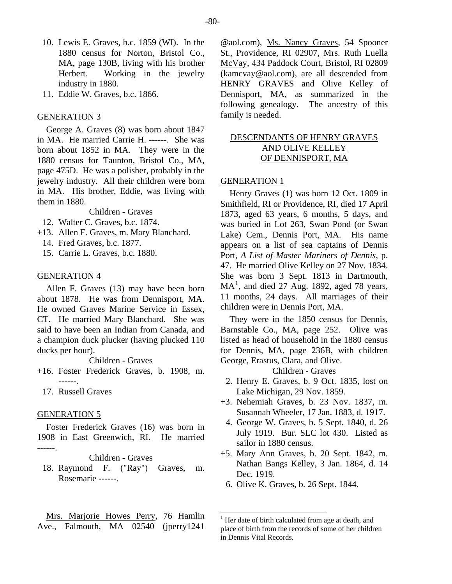- 10. Lewis E. Graves, b.c. 1859 (WI). In the 1880 census for Norton, Bristol Co., MA, page 130B, living with his brother Herbert. Working in the jewelry industry in 1880.
- 11. Eddie W. Graves, b.c. 1866.

# GENERATION 3

George A. Graves (8) was born about 1847 in MA. He married Carrie H. ------. She was born about 1852 in MA. They were in the 1880 census for Taunton, Bristol Co., MA, page 475D. He was a polisher, probably in the jewelry industry. All their children were born in MA. His brother, Eddie, was living with them in 1880.

Children - Graves

- 12. Walter C. Graves, b.c. 1874.
- +13. Allen F. Graves, m. Mary Blanchard.
	- 14. Fred Graves, b.c. 1877.
	- 15. Carrie L. Graves, b.c. 1880.

#### GENERATION 4

Allen F. Graves (13) may have been born about 1878. He was from Dennisport, MA. He owned Graves Marine Service in Essex, CT. He married Mary Blanchard. She was said to have been an Indian from Canada, and a champion duck plucker (having plucked 110 ducks per hour).

Children - Graves

- +16. Foster Frederick Graves, b. 1908, m. ------.
	- 17. Russell Graves

# GENERATION 5

Foster Frederick Graves (16) was born in 1908 in East Greenwich, RI. He married ------.

# Children - Graves

 18. Raymond F. ("Ray") Graves, m. Rosemarie ------.

@aol.com), Ms. Nancy Graves, 54 Spooner St., Providence, RI 02907, Mrs. Ruth Luella McVay, 434 Paddock Court, Bristol, RI 02809 (kamcvay@aol.com), are all descended from HENRY GRAVES and Olive Kelley of Dennisport, MA, as summarized in the following genealogy. The ancestry of this family is needed.

# DESCENDANTS OF HENRY GRAVES AND OLIVE KELLEY OF DENNISPORT, MA

## GENERATION 1

Henry Graves (1) was born 12 Oct. 1809 in Smithfield, RI or Providence, RI, died 17 April 1873, aged 63 years, 6 months, 5 days, and was buried in Lot 263, Swan Pond (or Swan Lake) Cem., Dennis Port, MA. His name appears on a list of sea captains of Dennis Port, *A List of Master Mariners of Dennis*, p. 47. He married Olive Kelley on 27 Nov. 1834. She was born 3 Sept. 1813 in Dartmouth,  $MA<sup>1</sup>$  $MA<sup>1</sup>$  $MA<sup>1</sup>$ , and died 27 Aug. 1892, aged 78 years, 11 months, 24 days. All marriages of their children were in Dennis Port, MA.

They were in the 1850 census for Dennis, Barnstable Co., MA, page 252. Olive was listed as head of household in the 1880 census for Dennis, MA, page 236B, with children George, Erastus, Clara, and Olive.

Children - Graves

- 2. Henry E. Graves, b. 9 Oct. 1835, lost on Lake Michigan, 29 Nov. 1859.
- +3. Nehemiah Graves, b. 23 Nov. 1837, m. Susannah Wheeler, 17 Jan. 1883, d. 1917.
- 4. George W. Graves, b. 5 Sept. 1840, d. 26 July 1919. Bur. SLC lot 430. Listed as sailor in 1880 census.
- +5. Mary Ann Graves, b. 20 Sept. 1842, m. Nathan Bangs Kelley, 3 Jan. 1864, d. 14 Dec. 1919.
	- 6. Olive K. Graves, b. 26 Sept. 1844.

<span id="page-7-0"></span>Mrs. Marjorie Howes Perry, 76 Hamlin Ave., Falmouth, MA 02540 (jperry1241

<sup>&</sup>lt;sup>1</sup> Her date of birth calculated from age at death, and place of birth from the records of some of her children in Dennis Vital Records.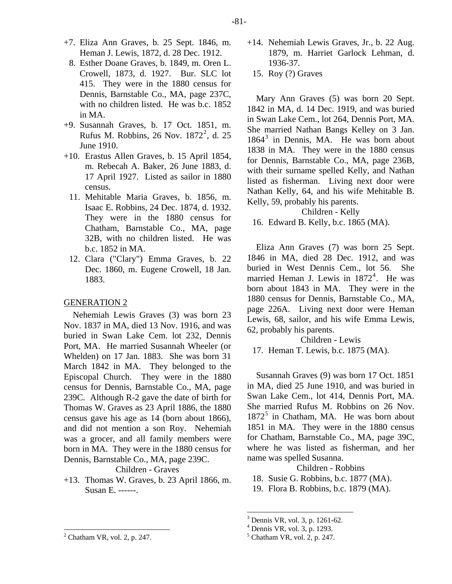- +7. Eliza Ann Graves, b. 25 Sept. 1846, m. Heman J. Lewis, 1872, d. 28 Dec. 1912.
- 8. Esther Doane Graves, b. 1849, m. Oren L. Crowell, 1873, d. 1927. Bur. SLC lot 415. They were in the 1880 census for Dennis, Barnstable Co., MA, page 237C, with no children listed. He was b.c. 1852 in MA.
- +9. Susannah Graves, b. 17 Oct. 1851, m. Rufus M. Robbins, [2](#page-8-0)6 Nov.  $1872^2$ , d. 25 June 1910.
- +10. Erastus Allen Graves, b. 15 April 1854, m. Rebecah A. Baker, 26 June 1883, d. 17 April 1927. Listed as sailor in 1880 census.
	- 11. Mehitable Maria Graves, b. 1856, m. Isaac E. Robbins, 24 Dec. 1874, d. 1932. They were in the 1880 census for Chatham, Barnstable Co., MA, page 32B, with no children listed. He was b.c. 1852 in MA.
	- 12. Clara ("Clary") Emma Graves, b. 22 Dec. 1860, m. Eugene Crowell, 18 Jan. 1883.

# GENERATION 2

Nehemiah Lewis Graves (3) was born 23 Nov. 1837 in MA, died 13 Nov. 1916, and was buried in Swan Lake Cem. lot 232, Dennis Port, MA. He married Susannah Wheeler (or Whelden) on 17 Jan. 1883. She was born 31 March 1842 in MA. They belonged to the Episcopal Church. They were in the 1880 census for Dennis, Barnstable Co., MA, page 239C. Although R-2 gave the date of birth for Thomas W. Graves as 23 April 1886, the 1880 census gave his age as 14 (born about 1866), and did not mention a son Roy. Nehemiah was a grocer, and all family members were born in MA. They were in the 1880 census for Dennis, Barnstable Co., MA, page 239C.

Children - Graves

+13. Thomas W. Graves, b. 23 April 1866, m. Susan E. ------.

- +14. Nehemiah Lewis Graves, Jr., b. 22 Aug. 1879, m. Harriet Garlock Lehman, d. 1936-37.
	- 15. Roy (?) Graves

Mary Ann Graves (5) was born 20 Sept. 1842 in MA, d. 14 Dec. 1919, and was buried in Swan Lake Cem., lot 264, Dennis Port, MA. She married Nathan Bangs Kelley on 3 Jan. 1864[3](#page-8-1) in Dennis, MA. He was born about 1838 in MA. They were in the 1880 census for Dennis, Barnstable Co., MA, page 236B, with their surname spelled Kelly, and Nathan listed as fisherman. Living next door were Nathan Kelly, 64, and his wife Mehitable B. Kelly, 59, probably his parents.

#### Children - Kelly

16. Edward B. Kelly, b.c. 1865 (MA).

Eliza Ann Graves (7) was born 25 Sept. 1846 in MA, died 28 Dec. 1912, and was buried in West Dennis Cem., lot 56. She married Heman J. Lewis in  $1872^4$  $1872^4$ . He was born about 1843 in MA. They were in the 1880 census for Dennis, Barnstable Co., MA, page 226A. Living next door were Heman Lewis, 68, sailor, and his wife Emma Lewis, 62, probably his parents.

Children - Lewis

17. Heman T. Lewis, b.c. 1875 (MA).

Susannah Graves (9) was born 17 Oct. 1851 in MA, died 25 June 1910, and was buried in Swan Lake Cem., lot 414, Dennis Port, MA. She married Rufus M. Robbins on 26 Nov. 1872<sup>[5](#page-8-0)</sup> in Chatham, MA. He was born about 1851 in MA. They were in the 1880 census for Chatham, Barnstable Co., MA, page 39C, where he was listed as fisherman, and her name was spelled Susanna.

Children - Robbins

- 18. Susie G. Robbins, b.c. 1877 (MA).
- 19. Flora B. Robbins, b.c. 1879 (MA).

- 4 Dennis VR, vol. 3, p. 1293.
- 5 Chatham VR, vol. 2, p. 247.

<sup>3</sup> Dennis VR, vol. 3, p. 1261-62.

<span id="page-8-2"></span><span id="page-8-1"></span><span id="page-8-0"></span> $<sup>2</sup>$  Chatham VR, vol. 2, p. 247.</sup>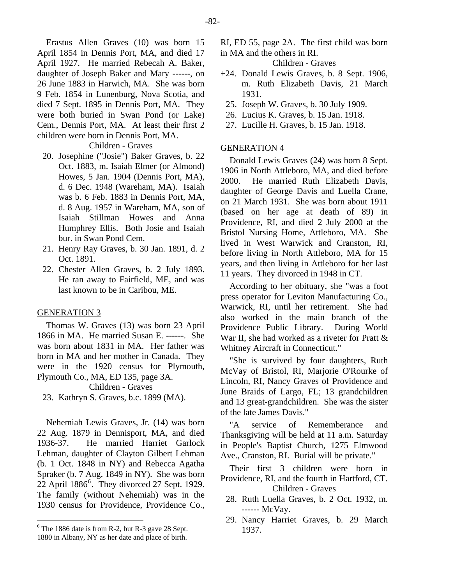Erastus Allen Graves (10) was born 15 April 1854 in Dennis Port, MA, and died 17 April 1927. He married Rebecah A. Baker, daughter of Joseph Baker and Mary ------, on 26 June 1883 in Harwich, MA. She was born 9 Feb. 1854 in Lunenburg, Nova Scotia, and died 7 Sept. 1895 in Dennis Port, MA. They were both buried in Swan Pond (or Lake) Cem., Dennis Port, MA. At least their first 2 children were born in Dennis Port, MA.

# Children - Graves

- 20. Josephine ("Josie") Baker Graves, b. 22 Oct. 1883, m. Isaiah Elmer (or Almond) Howes, 5 Jan. 1904 (Dennis Port, MA), d. 6 Dec. 1948 (Wareham, MA). Isaiah was b. 6 Feb. 1883 in Dennis Port, MA, d. 8 Aug. 1957 in Wareham, MA, son of Isaiah Stillman Howes and Anna Humphrey Ellis. Both Josie and Isaiah bur. in Swan Pond Cem.
- 21. Henry Ray Graves, b. 30 Jan. 1891, d. 2 Oct. 1891.
- 22. Chester Allen Graves, b. 2 July 1893. He ran away to Fairfield, ME, and was last known to be in Caribou, ME.

#### GENERATION 3

Thomas W. Graves (13) was born 23 April 1866 in MA. He married Susan E. ------. She was born about 1831 in MA. Her father was born in MA and her mother in Canada. They were in the 1920 census for Plymouth, Plymouth Co., MA, ED 135, page 3A.

Children - Graves

23. Kathryn S. Graves, b.c. 1899 (MA).

Nehemiah Lewis Graves, Jr. (14) was born 22 Aug. 1879 in Dennisport, MA, and died 1936-37. He married Harriet Garlock Lehman, daughter of Clayton Gilbert Lehman (b. 1 Oct. 1848 in NY) and Rebecca Agatha Spraker (b. 7 Aug. 1849 in NY). She was born 22 April 1886[6](#page-9-0) . They divorced 27 Sept. 1929. The family (without Nehemiah) was in the 1930 census for Providence, Providence Co.,

RI, ED 55, page 2A. The first child was born in MA and the others in RI.

Children - Graves

- +24. Donald Lewis Graves, b. 8 Sept. 1906, m. Ruth Elizabeth Davis, 21 March 1931.
	- 25. Joseph W. Graves, b. 30 July 1909.
	- 26. Lucius K. Graves, b. 15 Jan. 1918.
	- 27. Lucille H. Graves, b. 15 Jan. 1918.

#### GENERATION 4

Donald Lewis Graves (24) was born 8 Sept. 1906 in North Attleboro, MA, and died before 2000. He married Ruth Elizabeth Davis, daughter of George Davis and Luella Crane, on 21 March 1931. She was born about 1911 (based on her age at death of 89) in Providence, RI, and died 2 July 2000 at the Bristol Nursing Home, Attleboro, MA. She lived in West Warwick and Cranston, RI, before living in North Attleboro, MA for 15 years, and then living in Attleboro for her last 11 years. They divorced in 1948 in CT.

According to her obituary, she "was a foot press operator for Leviton Manufacturing Co., Warwick, RI, until her retirement. She had also worked in the main branch of the Providence Public Library. During World War II, she had worked as a riveter for Pratt & Whitney Aircraft in Connecticut."

"She is survived by four daughters, Ruth McVay of Bristol, RI, Marjorie O'Rourke of Lincoln, RI, Nancy Graves of Providence and June Braids of Largo, FL; 13 grandchildren and 13 great-grandchildren. She was the sister of the late James Davis."

"A service of Rememberance and Thanksgiving will be held at 11 a.m. Saturday in People's Baptist Church, 1275 Elmwood Ave., Cranston, RI. Burial will be private."

Their first 3 children were born in Providence, RI, and the fourth in Hartford, CT. Children - Graves

- 28. Ruth Luella Graves, b. 2 Oct. 1932, m. ------ McVay.
- 29. Nancy Harriet Graves, b. 29 March 1937.

<span id="page-9-0"></span> $6$  The 1886 date is from R-2, but R-3 gave 28 Sept.

<sup>1880</sup> in Albany, NY as her date and place of birth.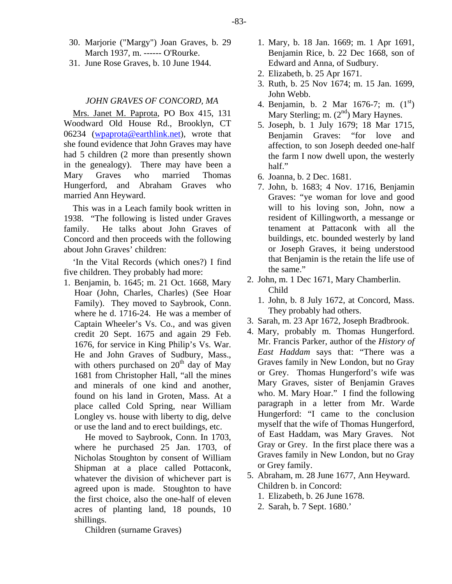- 30. Marjorie ("Margy") Joan Graves, b. 29 March 1937, m. ------ O'Rourke.
- 31. June Rose Graves, b. 10 June 1944.

# *JOHN GRAVES OF CONCORD, MA*

Mrs. Janet M. Paprota, PO Box 415, 131 Woodward Old House Rd., Brooklyn, CT 06234 [\(wpaprota@earthlink.net\)](mailto:wpaprota@earthlink.net), wrote that she found evidence that John Graves may have had 5 children (2 more than presently shown in the genealogy). There may have been a Mary Graves who married Thomas Hungerford, and Abraham Graves who married Ann Heyward.

This was in a Leach family book written in 1938. "The following is listed under Graves family. He talks about John Graves of Concord and then proceeds with the following about John Graves' children:

'In the Vital Records (which ones?) I find five children. They probably had more:

1. Benjamin, b. 1645; m. 21 Oct. 1668, Mary Hoar (John, Charles, Charles) (See Hoar Family). They moved to Saybrook, Conn. where he d. 1716-24. He was a member of Captain Wheeler's Vs. Co., and was given credit 20 Sept. 1675 and again 29 Feb. 1676, for service in King Philip's Vs. War. He and John Graves of Sudbury, Mass., with others purchased on  $20<sup>th</sup>$  day of May 1681 from Christopher Hall, "all the mines and minerals of one kind and another, found on his land in Groten, Mass. At a place called Cold Spring, near William Longley vs. house with liberty to dig, delve or use the land and to erect buildings, etc.

He moved to Saybrook, Conn. In 1703, where he purchased 25 Jan. 1703, of Nicholas Stoughton by consent of William Shipman at a place called Pottaconk, whatever the division of whichever part is agreed upon is made. Stoughton to have the first choice, also the one-half of eleven acres of planting land, 18 pounds, 10 shillings.

- 1. Mary, b. 18 Jan. 1669; m. 1 Apr 1691, Benjamin Rice, b. 22 Dec 1668, son of Edward and Anna, of Sudbury.
- 2. Elizabeth, b. 25 Apr 1671.
- 3. Ruth, b. 25 Nov 1674; m. 15 Jan. 1699, John Webb.
- 4. Benjamin, b. 2 Mar 1676-7; m.  $(1<sup>st</sup>)$ Mary Sterling; m.  $(2<sup>nd</sup>)$  Mary Haynes.
- 5. Joseph, b. 1 July 1679; 18 Mar 1715, Benjamin Graves: "for love and affection, to son Joseph deeded one-half the farm I now dwell upon, the westerly half."
- 6. Joanna, b. 2 Dec. 1681.
- 7. John, b. 1683; 4 Nov. 1716, Benjamin Graves: "ye woman for love and good will to his loving son, John, now a resident of Killingworth, a messange or tenament at Pattaconk with all the buildings, etc. bounded westerly by land or Joseph Graves, it being understood that Benjamin is the retain the life use of the same."
- 2. John, m. 1 Dec 1671, Mary Chamberlin. Child
	- 1. John, b. 8 July 1672, at Concord, Mass. They probably had others.
- 3. Sarah, m. 23 Apr 1672, Joseph Bradbrook.
- 4. Mary, probably m. Thomas Hungerford. Mr. Francis Parker, author of the *History of East Haddam* says that: "There was a Graves family in New London, but no Gray or Grey. Thomas Hungerford's wife was Mary Graves, sister of Benjamin Graves who. M. Mary Hoar." I find the following paragraph in a letter from Mr. Warde Hungerford: "I came to the conclusion myself that the wife of Thomas Hungerford, of East Haddam, was Mary Graves. Not Gray or Grey. In the first place there was a Graves family in New London, but no Gray or Grey family.
- 5. Abraham, m. 28 June 1677, Ann Heyward. Children b. in Concord:
	- 1. Elizabeth, b. 26 June 1678.
	- 2. Sarah, b. 7 Sept. 1680.'

Children (surname Graves)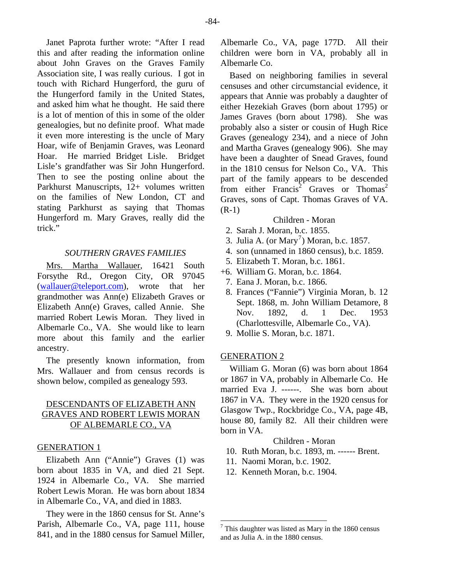Janet Paprota further wrote: "After I read this and after reading the information online about John Graves on the Graves Family Association site, I was really curious. I got in touch with Richard Hungerford, the guru of the Hungerford family in the United States, and asked him what he thought. He said there is a lot of mention of this in some of the older genealogies, but no definite proof. What made it even more interesting is the uncle of Mary Hoar, wife of Benjamin Graves, was Leonard Hoar. He married Bridget Lisle. Bridget Lisle's grandfather was Sir John Hungerford. Then to see the posting online about the Parkhurst Manuscripts, 12+ volumes written on the families of New London, CT and stating Parkhurst as saying that Thomas Hungerford m. Mary Graves, really did the trick."

# *SOUTHERN GRAVES FAMILIES*

Mrs. Martha Wallauer, 16421 South Forsythe Rd., Oregon City, OR 97045 [\(wallauer@teleport.com](mailto:wallauer@teleport.com)), wrote that her grandmother was Ann(e) Elizabeth Graves or Elizabeth Ann(e) Graves, called Annie. She married Robert Lewis Moran. They lived in Albemarle Co., VA. She would like to learn more about this family and the earlier ancestry.

The presently known information, from Mrs. Wallauer and from census records is shown below, compiled as genealogy 593.

# DESCENDANTS OF ELIZABETH ANN GRAVES AND ROBERT LEWIS MORAN OF ALBEMARLE CO., VA

## GENERATION 1

Elizabeth Ann ("Annie") Graves (1) was born about 1835 in VA, and died 21 Sept. 1924 in Albemarle Co., VA. She married Robert Lewis Moran. He was born about 1834 in Albemarle Co., VA, and died in 1883.

<span id="page-11-0"></span>They were in the 1860 census for St. Anne's Parish, Albemarle Co., VA, page 111, house 841, and in the 1880 census for Samuel Miller, Albemarle Co., VA, page 177D. All their children were born in VA, probably all in Albemarle Co.

Based on neighboring families in several censuses and other circumstancial evidence, it appears that Annie was probably a daughter of either Hezekiah Graves (born about 1795) or James Graves (born about 1798). She was probably also a sister or cousin of Hugh Rice Graves (genealogy 234), and a niece of John and Martha Graves (genealogy 906). She may have been a daughter of Snead Graves, found in the 1810 census for Nelson Co., VA. This part of the family appears to be descended from either Francis<sup>2</sup> Graves or Thomas<sup>2</sup> Graves, sons of Capt. Thomas Graves of VA. (R-1)

# Children - Moran

- 2. Sarah J. Moran, b.c. 1855.
- 3. Julia A. (or  $Mary<sup>7</sup>$  $Mary<sup>7</sup>$  $Mary<sup>7</sup>$ ) Moran, b.c. 1857.
	- 4. son (unnamed in 1860 census), b.c. 1859.
	- 5. Elizabeth T. Moran, b.c. 1861.
- +6. William G. Moran, b.c. 1864.
	- 7. Eana J. Moran, b.c. 1866.
	- 8. Frances ("Fannie") Virginia Moran, b. 12 Sept. 1868, m. John William Detamore, 8 Nov. 1892, d. 1 Dec. 1953 (Charlottesville, Albemarle Co., VA).
	- 9. Mollie S. Moran, b.c. 1871.

#### GENERATION 2

William G. Moran (6) was born about 1864 or 1867 in VA, probably in Albemarle Co. He married Eva J. ------. She was born about 1867 in VA. They were in the 1920 census for Glasgow Twp., Rockbridge Co., VA, page 4B, house 80, family 82. All their children were born in VA.

# Children - Moran

- 10. Ruth Moran, b.c. 1893, m. ------ Brent.
- 11. Naomi Moran, b.c. 1902.
- 12. Kenneth Moran, b.c. 1904.

 $7$  This daughter was listed as Mary in the 1860 census and as Julia A. in the 1880 census.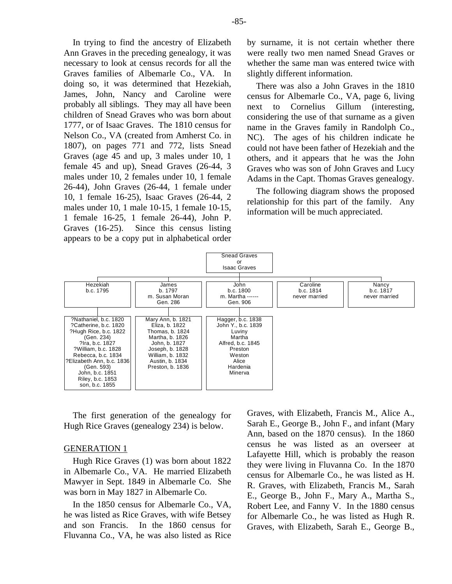In trying to find the ancestry of Elizabeth Ann Graves in the preceding genealogy, it was necessary to look at census records for all the Graves families of Albemarle Co., VA. In doing so, it was determined that Hezekiah, James, John, Nancy and Caroline were probably all siblings. They may all have been children of Snead Graves who was born about 1777, or of Isaac Graves. The 1810 census for Nelson Co., VA (created from Amherst Co. in 1807), on pages 771 and 772, lists Snead Graves (age 45 and up, 3 males under 10, 1 female 45 and up), Snead Graves (26-44, 3 males under 10, 2 females under 10, 1 female 26-44), John Graves (26-44, 1 female under 10, 1 female 16-25), Isaac Graves (26-44, 2 males under 10, 1 male 10-15, 1 female 10-15, 1 female 16-25, 1 female 26-44), John P. Graves (16-25). Since this census listing appears to be a copy put in alphabetical order

by surname, it is not certain whether there were really two men named Snead Graves or whether the same man was entered twice with slightly different information.

There was also a John Graves in the 1810 census for Albemarle Co., VA, page 6, living next to Cornelius Gillum (interesting, considering the use of that surname as a given name in the Graves family in Randolph Co., NC). The ages of his children indicate he could not have been father of Hezekiah and the others, and it appears that he was the John Graves who was son of John Graves and Lucy Adams in the Capt. Thomas Graves genealogy.

The following diagram shows the proposed relationship for this part of the family. Any information will be much appreciated.



The first generation of the genealogy for Hugh Rice Graves (genealogy 234) is below.

# GENERATION 1

Hugh Rice Graves (1) was born about 1822 in Albemarle Co., VA. He married Elizabeth Mawyer in Sept. 1849 in Albemarle Co. She was born in May 1827 in Albemarle Co.

In the 1850 census for Albemarle Co., VA, he was listed as Rice Graves, with wife Betsey and son Francis. In the 1860 census for Fluvanna Co., VA, he was also listed as Rice

Graves, with Elizabeth, Francis M., Alice A., Sarah E., George B., John F., and infant (Mary Ann, based on the 1870 census). In the 1860 census he was listed as an overseer at Lafayette Hill, which is probably the reason they were living in Fluvanna Co. In the 1870 census for Albemarle Co., he was listed as H. R. Graves, with Elizabeth, Francis M., Sarah E., George B., John F., Mary A., Martha S., Robert Lee, and Fanny V. In the 1880 census for Albemarle Co., he was listed as Hugh R. Graves, with Elizabeth, Sarah E., George B.,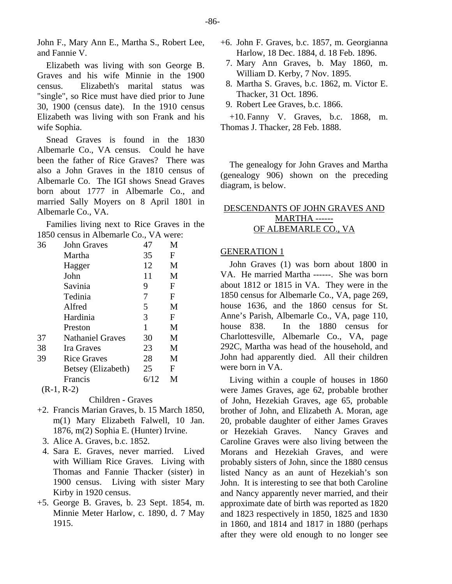John F., Mary Ann E., Martha S., Robert Lee, and Fannie V.

Elizabeth was living with son George B. Graves and his wife Minnie in the 1900 census. Elizabeth's marital status was "single", so Rice must have died prior to June 30, 1900 (census date). In the 1910 census Elizabeth was living with son Frank and his wife Sophia.

Snead Graves is found in the 1830 Albemarle Co., VA census. Could he have been the father of Rice Graves? There was also a John Graves in the 1810 census of Albemarle Co. The IGI shows Snead Graves born about 1777 in Albemarle Co., and married Sally Moyers on 8 April 1801 in Albemarle Co., VA.

Families living next to Rice Graves in the 1850 census in Albemarle Co., VA were:

| 36 | John Graves             | 47   | M |
|----|-------------------------|------|---|
|    | Martha                  | 35   | F |
|    | Hagger                  | 12   | M |
|    | John                    | 11   | M |
|    | Savinia                 | 9    | F |
|    | Tedinia                 | 7    | F |
|    | Alfred                  | 5    | M |
|    | Hardinia                | 3    | F |
|    | Preston                 | 1    | M |
| 37 | <b>Nathaniel Graves</b> | 30   | M |
| 38 | Ira Graves              | 23   | M |
| 39 | Rice Graves             | 28   | M |
|    | Betsey (Elizabeth)      | 25   | F |
|    | Francis                 | 6/12 | M |
|    | $(R-1, R-2)$            |      |   |

Children - Graves

- +2. Francis Marian Graves, b. 15 March 1850, m(1) Mary Elizabeth Falwell, 10 Jan. 1876, m(2) Sophia E. (Hunter) Irvine.
	- 3. Alice A. Graves, b.c. 1852.
	- 4. Sara E. Graves, never married. Lived with William Rice Graves. Living with Thomas and Fannie Thacker (sister) in 1900 census. Living with sister Mary Kirby in 1920 census.
- +5. George B. Graves, b. 23 Sept. 1854, m. Minnie Meter Harlow, c. 1890, d. 7 May 1915.
- +6. John F. Graves, b.c. 1857, m. Georgianna Harlow, 18 Dec. 1884, d. 18 Feb. 1896.
- 7. Mary Ann Graves, b. May 1860, m. William D. Kerby, 7 Nov. 1895.
- 8. Martha S. Graves, b.c. 1862, m. Victor E. Thacker, 31 Oct. 1896.
- 9. Robert Lee Graves, b.c. 1866.

+10. Fanny V. Graves, b.c. 1868, m. Thomas J. Thacker, 28 Feb. 1888.

The genealogy for John Graves and Martha (genealogy 906) shown on the preceding diagram, is below.

# DESCENDANTS OF JOHN GRAVES AND MARTHA ------ OF ALBEMARLE CO., VA

# GENERATION 1

John Graves (1) was born about 1800 in VA. He married Martha ------. She was born about 1812 or 1815 in VA. They were in the 1850 census for Albemarle Co., VA, page 269, house 1636, and the 1860 census for St. Anne's Parish, Albemarle Co., VA, page 110, house 838. In the 1880 census for Charlottesville, Albemarle Co., VA, page 292C, Martha was head of the household, and John had apparently died. All their children were born in VA.

Living within a couple of houses in 1860 were James Graves, age 62, probable brother of John, Hezekiah Graves, age 65, probable brother of John, and Elizabeth A. Moran, age 20, probable daughter of either James Graves or Hezekiah Graves. Nancy Graves and Caroline Graves were also living between the Morans and Hezekiah Graves, and were probably sisters of John, since the 1880 census listed Nancy as an aunt of Hezekiah's son John. It is interesting to see that both Caroline and Nancy apparently never married, and their approximate date of birth was reported as 1820 and 1823 respectively in 1850, 1825 and 1830 in 1860, and 1814 and 1817 in 1880 (perhaps after they were old enough to no longer see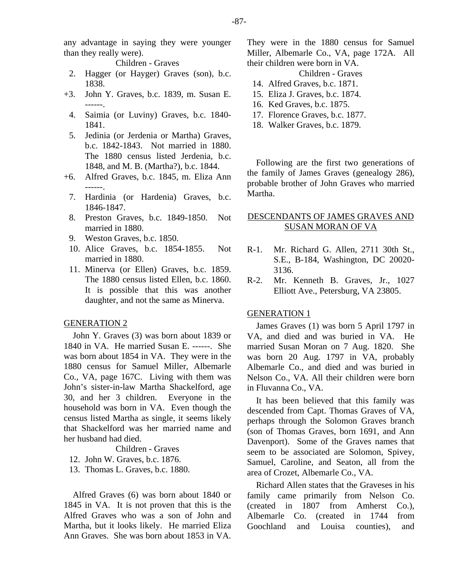any advantage in saying they were younger than they really were).

Children - Graves

- 2. Hagger (or Hayger) Graves (son), b.c. 1838.
- +3. John Y. Graves, b.c. 1839, m. Susan E. ------.
	- 4. Saimia (or Luviny) Graves, b.c. 1840- 1841.
	- 5. Jedinia (or Jerdenia or Martha) Graves, b.c. 1842-1843. Not married in 1880. The 1880 census listed Jerdenia, b.c. 1848, and M. B. (Martha?), b.c. 1844.
- +6. Alfred Graves, b.c. 1845, m. Eliza Ann ------.
	- 7. Hardinia (or Hardenia) Graves, b.c. 1846-1847.
	- 8. Preston Graves, b.c. 1849-1850. Not married in 1880.
	- 9. Weston Graves, b.c. 1850.
	- 10. Alice Graves, b.c. 1854-1855. Not married in 1880.
	- 11. Minerva (or Ellen) Graves, b.c. 1859. The 1880 census listed Ellen, b.c. 1860. It is possible that this was another daughter, and not the same as Minerva.

## GENERATION 2

John Y. Graves (3) was born about 1839 or 1840 in VA. He married Susan E. ------. She was born about 1854 in VA. They were in the 1880 census for Samuel Miller, Albemarle Co., VA, page 167C. Living with them was John's sister-in-law Martha Shackelford, age 30, and her 3 children. Everyone in the household was born in VA. Even though the census listed Martha as single, it seems likely that Shackelford was her married name and her husband had died.

Children - Graves

- 12. John W. Graves, b.c. 1876.
- 13. Thomas L. Graves, b.c. 1880.

Alfred Graves (6) was born about 1840 or 1845 in VA. It is not proven that this is the Alfred Graves who was a son of John and Martha, but it looks likely. He married Eliza Ann Graves. She was born about 1853 in VA.

They were in the 1880 census for Samuel Miller, Albemarle Co., VA, page 172A. All their children were born in VA.

Children - Graves

- 14. Alfred Graves, b.c. 1871.
- 15. Eliza J. Graves, b.c. 1874.
- 16. Ked Graves, b.c. 1875.
- 17. Florence Graves, b.c. 1877.
- 18. Walker Graves, b.c. 1879.

Following are the first two generations of the family of James Graves (genealogy 286), probable brother of John Graves who married Martha.

# DESCENDANTS OF JAMES GRAVES AND SUSAN MORAN OF VA

- R-1. Mr. Richard G. Allen, 2711 30th St., S.E., B-184, Washington, DC 20020- 3136.
- R-2. Mr. Kenneth B. Graves, Jr., 1027 Elliott Ave., Petersburg, VA 23805.

## GENERATION 1

James Graves (1) was born 5 April 1797 in VA, and died and was buried in VA. He married Susan Moran on 7 Aug. 1820. She was born 20 Aug. 1797 in VA, probably Albemarle Co., and died and was buried in Nelson Co., VA. All their children were born in Fluvanna Co., VA.

It has been believed that this family was descended from Capt. Thomas Graves of VA, perhaps through the Solomon Graves branch (son of Thomas Graves, born 1691, and Ann Davenport). Some of the Graves names that seem to be associated are Solomon, Spivey, Samuel, Caroline, and Seaton, all from the area of Crozet, Albemarle Co., VA.

Richard Allen states that the Graveses in his family came primarily from Nelson Co. (created in 1807 from Amherst Co.), Albemarle Co. (created in 1744 from Goochland and Louisa counties), and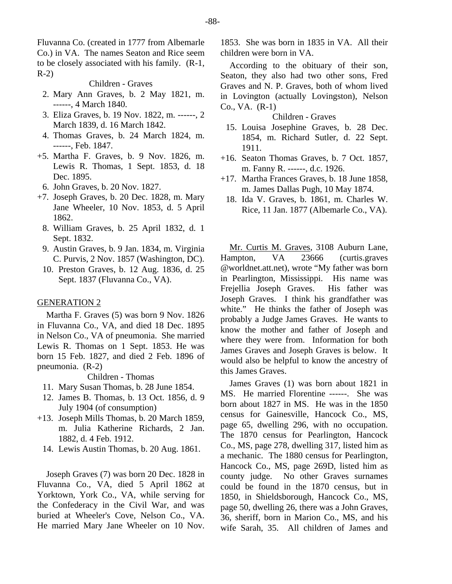Fluvanna Co. (created in 1777 from Albemarle Co.) in VA. The names Seaton and Rice seem to be closely associated with his family. (R-1, R-2)

Children - Graves

- 2. Mary Ann Graves, b. 2 May 1821, m. ------, 4 March 1840.
- 3. Eliza Graves, b. 19 Nov. 1822, m. ------, 2 March 1839, d. 16 March 1842.
- 4. Thomas Graves, b. 24 March 1824, m. ------, Feb. 1847.
- +5. Martha F. Graves, b. 9 Nov. 1826, m. Lewis R. Thomas, 1 Sept. 1853, d. 18 Dec. 1895.
	- 6. John Graves, b. 20 Nov. 1827.
- +7. Joseph Graves, b. 20 Dec. 1828, m. Mary Jane Wheeler, 10 Nov. 1853, d. 5 April 1862.
	- 8. William Graves, b. 25 April 1832, d. 1 Sept. 1832.
	- 9. Austin Graves, b. 9 Jan. 1834, m. Virginia C. Purvis, 2 Nov. 1857 (Washington, DC).
	- 10. Preston Graves, b. 12 Aug. 1836, d. 25 Sept. 1837 (Fluvanna Co., VA).

#### GENERATION 2

Martha F. Graves (5) was born 9 Nov. 1826 in Fluvanna Co., VA, and died 18 Dec. 1895 in Nelson Co., VA of pneumonia. She married Lewis R. Thomas on 1 Sept. 1853. He was born 15 Feb. 1827, and died 2 Feb. 1896 of pneumonia. (R-2)

Children - Thomas

- 11. Mary Susan Thomas, b. 28 June 1854.
- 12. James B. Thomas, b. 13 Oct. 1856, d. 9 July 1904 (of consumption)
- +13. Joseph Mills Thomas, b. 20 March 1859, m. Julia Katherine Richards, 2 Jan. 1882, d. 4 Feb. 1912.
	- 14. Lewis Austin Thomas, b. 20 Aug. 1861.

Joseph Graves (7) was born 20 Dec. 1828 in Fluvanna Co., VA, died 5 April 1862 at Yorktown, York Co., VA, while serving for the Confederacy in the Civil War, and was buried at Wheeler's Cove, Nelson Co., VA. He married Mary Jane Wheeler on 10 Nov.

1853. She was born in 1835 in VA. All their children were born in VA.

According to the obituary of their son, Seaton, they also had two other sons, Fred Graves and N. P. Graves, both of whom lived in Lovington (actually Lovingston), Nelson Co., VA. (R-1)

# Children - Graves

- 15. Louisa Josephine Graves, b. 28 Dec. 1854, m. Richard Sutler, d. 22 Sept. 1911.
- +16. Seaton Thomas Graves, b. 7 Oct. 1857, m. Fanny R. ------, d.c. 1926.
- +17. Martha Frances Graves, b. 18 June 1858, m. James Dallas Pugh, 10 May 1874.
- 18. Ida V. Graves, b. 1861, m. Charles W. Rice, 11 Jan. 1877 (Albemarle Co., VA).

Mr. Curtis M. Graves, 3108 Auburn Lane, Hampton, VA 23666 (curtis.graves @worldnet.att.net), wrote "My father was born in Pearlington, Mississippi. His name was Frejellia Joseph Graves. His father was Joseph Graves. I think his grandfather was white." He thinks the father of Joseph was probably a Judge James Graves. He wants to know the mother and father of Joseph and where they were from. Information for both James Graves and Joseph Graves is below. It would also be helpful to know the ancestry of this James Graves.

James Graves (1) was born about 1821 in MS. He married Florentine ------. She was born about 1827 in MS. He was in the 1850 census for Gainesville, Hancock Co., MS, page 65, dwelling 296, with no occupation. The 1870 census for Pearlington, Hancock Co., MS, page 278, dwelling 317, listed him as a mechanic. The 1880 census for Pearlington, Hancock Co., MS, page 269D, listed him as county judge. No other Graves surnames could be found in the 1870 census, but in 1850, in Shieldsborough, Hancock Co., MS, page 50, dwelling 26, there was a John Graves, 36, sheriff, born in Marion Co., MS, and his wife Sarah, 35. All children of James and